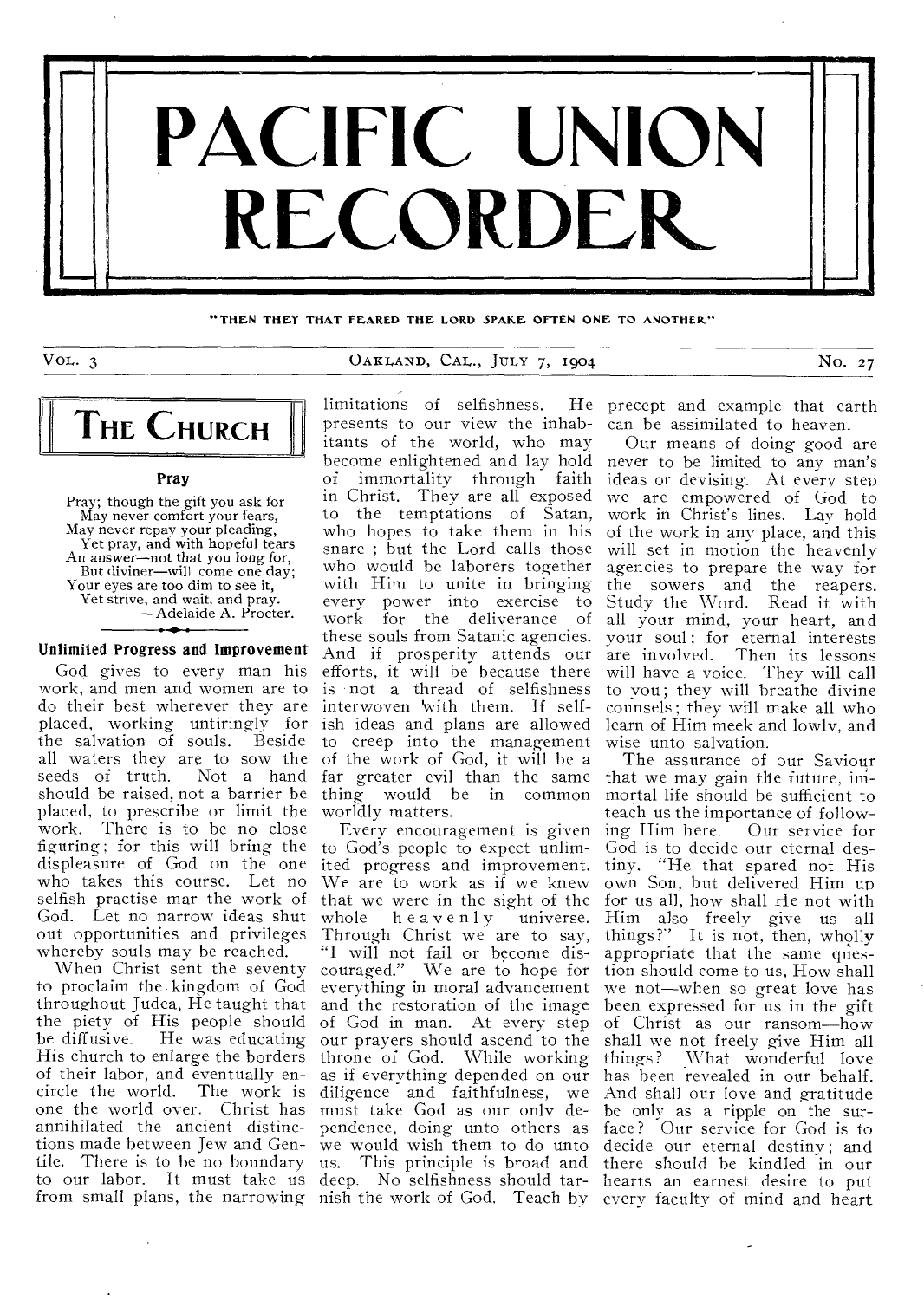

"THEN THEY THAT FEARED THE LORD SPAKE OFTEN ONE TO ANOTHER"

## VOL. 3 0AKLAND, CAL., JULY 7, 1904 No. 27



#### Pray

Pray; though the gift you ask for May never comfort your fears, May never repay your pleading, Yet pray, and with hopeful tears An answer—not that you long for, But diviner—will come one day; Your eyes are too dim to see it, Yet strive, and wait, and pray. —Adelaide A. Procter.

#### Unlimited Progress and Improvement

God gives to every man his work, and men and women are to do their best wherever they are placed, working untiringly for the salvation of souls. Beside all waters they are to sow the seeds of truth. Not a hand should be raised, not a barrier be placed, to prescribe or limit the work. There is to be no close figuring; for this will bring the displeasure of God on the one who takes this course. Let no selfish practise mar the work of God. Let no narrow ideas shut out opportunities and privileges whereby souls may be reached.

When Christ sent the seventy to proclaim the kingdom of God throughout Judea, He taught that the piety of His people should be diffusive. He was educating His church to enlarge the borders of their labor, and eventually encircle the world. The work is one the world over. Christ has annihilated the ancient distinctions made between Jew and Gentile. There is to be no boundary to our labor. It must take us from small plans, the narrowing nish the work of God. Teach by every faculty of mind and heart

limitations of selfishness. presents to our view the inhabitants of the world, who may become enlightened and lay hold never to be limited to any man's of immortality through faith ideas or devising. At every step in Christ. They are all exposed we are empowered of God to to the temptations of Satan, who hopes to take them in his snare ; but the Lord calls those who would be laborers together with Him to unite in bringing the sowers and the reapers. every power into exercise to work for the deliverance of these souls from Satanic agencies. And if prosperity attends our efforts, it will he because there is not a thread of selfishness interwoven 'with them. If selfish ideas and plans are allowed to creep into the management of the work of God, it will be a far greater evil than the same thing would be in common worldly matters.

Every encouragement is given to God's people to expect unlimited progress and improvement. We are to work as if we knew that we were in the sight of the whole heavenly universe. Through Christ we are to say, "I will not fail or become discouraged." We are to hope for everything in moral advancement and the restoration of the image of God in man. At every step our prayers should ascend to the throne of God. While working as if everything depended on our diligence and faithfulness, we And shall our love and gratitude must take God as our only de- be only as a ripple on the surpendence, doing unto others as we would wish them to do unto us. This principle is broad and deep. No selfishness should tar-

He precept and example that earth can be assimilated to heaven.

Our means of doing good are work in Christ's lines. Lay hold of the work in any place, and this will set in motion the heavenly agencies to prepare the way for Study the Word. Read it with all your mind, your heart, and your soul; for eternal interests are involved. Then its lessons will have a voice. They will call to you; they will breathe divine counsels ; they will make all who learn of Him meek and lowly, and wise unto salvation.

The assurance of our Saviour that we may gain the future, immortal life should be sufficient to teach us the importance of following Him here. Our service for God is to decide our eternal destiny. "He that spared not His own Son, but delivered Him up for us all, how shall He not with Him also freely give us all things?" It is not, then, wholly appropriate that the same question should come to us, How shall we not—when so great love has been expressed for us in the gift of Christ as our ransom—how shall we not freely give Him all things? What wonderful love has been revealed in our behalf. face ? Our service for God is to decide our eternal destiny; and there should he kindled in our hearts an earnest desire to put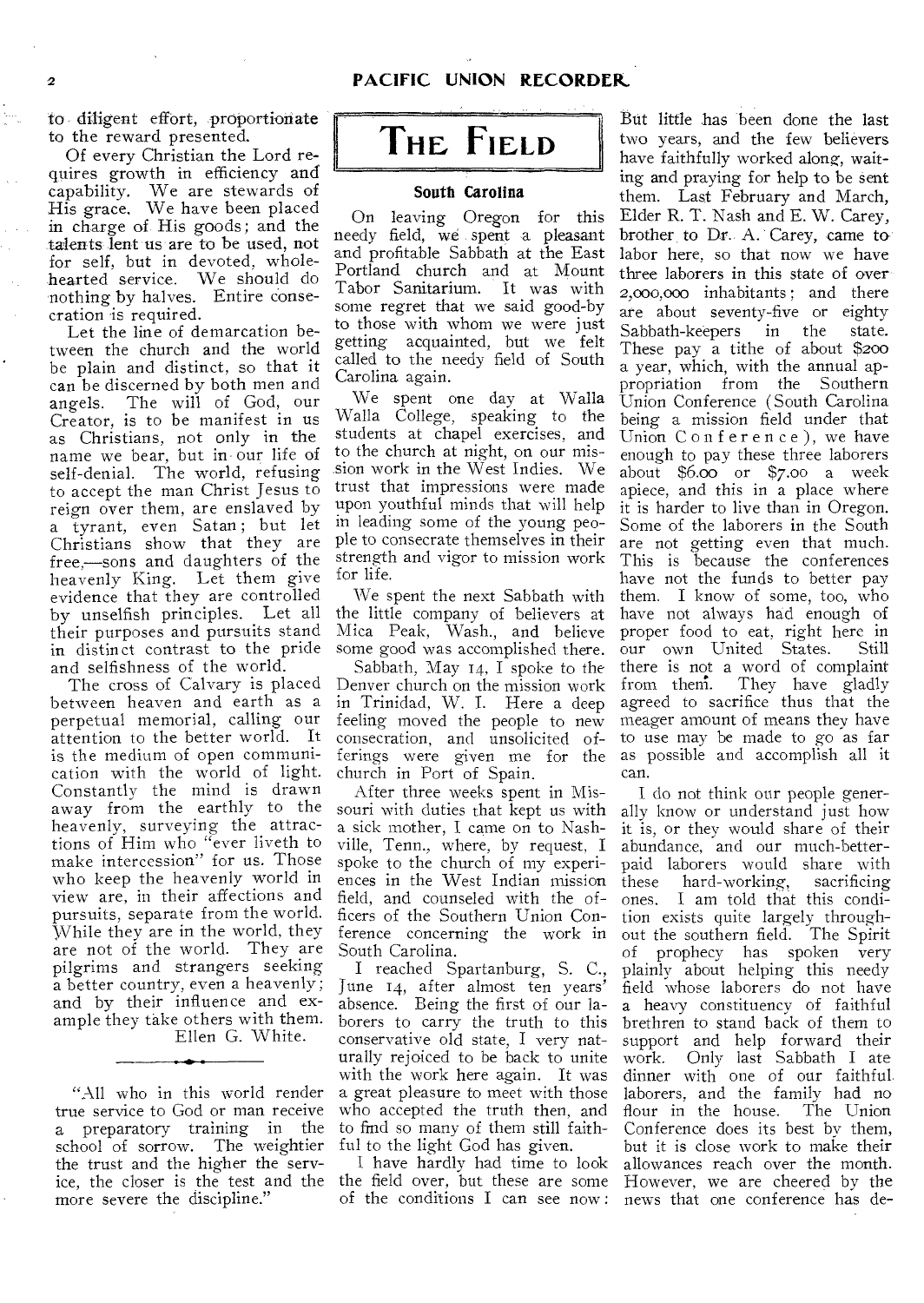to diligent effort, proportionate to the reward presented.

Of every Christian the Lord requires growth in efficiency and capability. We are stewards of His grace. We have been placed in charge of His goods; and the talents lent us are to be used, not for self, but in devoted, wholehearted service. We should do nothing by halves. Entire consecration is required.

Let the line of demarcation between the church and the world be plain and distinct, so that it can be discerned by both men and angels. The will of God, our Creator, is to be manifest in us as Christians, not only in the name we bear, but in our life of self-denial. The world, refusing to accept the man Christ Jesus to reign over them, are enslaved by a tyrant, even Satan; but let Christians show that they are free,—sons and daughters of the heavenly King. Let them give evidence that they are controlled by unselfish principles. Let all their purposes and pursuits stand in distinct contrast to the pride and selfishness of the world.

The cross of Calvary is placed between heaven and earth as a perpetual memorial, calling our attention to the better world. It is the medium of open communication with the world of light. Constantly the mind is drawn away from the earthly to the heavenly, surveying the attractions of Him who "ever liveth to make intercession" for us. Those who keep the heavenly world in view are, in their affections and pursuits, separate from the world. While they are in the world, they are not of the world. They are pilgrims and strangers seeking a better country, even a heavenly ; and by their influence and example they take others with them.

Ellen G. White.

"All who in this world render true service to God or man receive a preparatory training in the school of sorrow. The weightier the trust and the higher the service, the closer is the test and the more severe the discipline."



#### South Carolina

On leaving Oregon for this needy field, we spent a pleasant and profitable Sabbath at the East Portland church and at Mount Tabor Sanitarium. It was with some regret that we said good-by to those with whom we were just getting acquainted, but we felt called to the needy field of South Carolina again.

We spent one day at Walla Walla College, speaking to the students at chapel exercises, and to the church at night, on our mission work in the West Indies. We trust that impressions were made upon youthful minds that will help in leading some of the young people to consecrate themselves in their strength and vigor to mission work for life.

We spent the next Sabbath with the little company of believers at Mica Peak, Wash., and believe some good was accomplished there.

Sabbath, May 14, I spoke to the Denver church on the mission work in Trinidad, W. I. Here a deep feeling moved the people to new consecration, and unsolicited offerings were given me for the church in Port of Spain.

After three weeks spent in Missouri with duties that kept us with a sick mother, I came on to Nashville, Tenn., where, by request, I spoke to the church of my experiences in the West Indian mission field, and counseled with the officers of the Southern Union Conference concerning the work in South Carolina.

I reached Spartanburg, S. C., June 14, after almost ten years' absence. Being the first of our laborers to carry the truth to this conservative old state, I very naturally rejoiced to be back to unite with the work here again. It was a great pleasure to meet with those who accepted the truth then, and to find so many of them still faithful to the light God has given.

the field over, but these are some

But little has been done the last two years, and the few believers have faithfully worked along, waiting and praying for help to be sent them. Last February and March, Elder R. T. Nash and E. W. Carey, brother to Dr. A. Carey, came to labor here, so that now we have three laborers in this state of over 2,000,000 inhabitants ; and there are about seventy-five or eighty Sabbath-keepers in the state. These pay a tithe of about \$200 a year, which, with the annual appropriation from the Southern Union Conference (South Carolina being a mission field under that Union Conference), we have enough to pay these three laborers about \$6.00 or \$7.00 a week apiece, and this in a place where it is harder to live than in Oregon. Some of the laborers in the South are not getting even that much. This is because the conferences have not the funds to better pay them. I know of some, too, who have not always had enough of proper food to eat, right here in<br>our own United States. Still our own United States. there is not a word of complaint<br>from them. They have gladly They have gladly agreed to sacrifice thus that the meager amount of means they have to use may be made to go as far as possible and accomplish all it can.

I have hardly had time to look allowances reach over the month. of the conditions I can see now : news that one conference has de- I do not think our people generally know or understand just how it is, or they would share of their abundance, and our much-betterpaid laborers would share with<br>these hard-working, sacrificing hard-working, ones. I am told that this condition exists quite largely throughout the southern field. The Spirit of prophecy has spoken very plainly about helping this needy field whose laborers do not have a heavy constituency of faithful brethren to stand back of them to support and help forward their work. Only last Sabbath I ate dinner with one of our faithful laborers, and the family had no flour in the house. The Union Conference does its best by them, but it is close work to make their However, we are cheered by the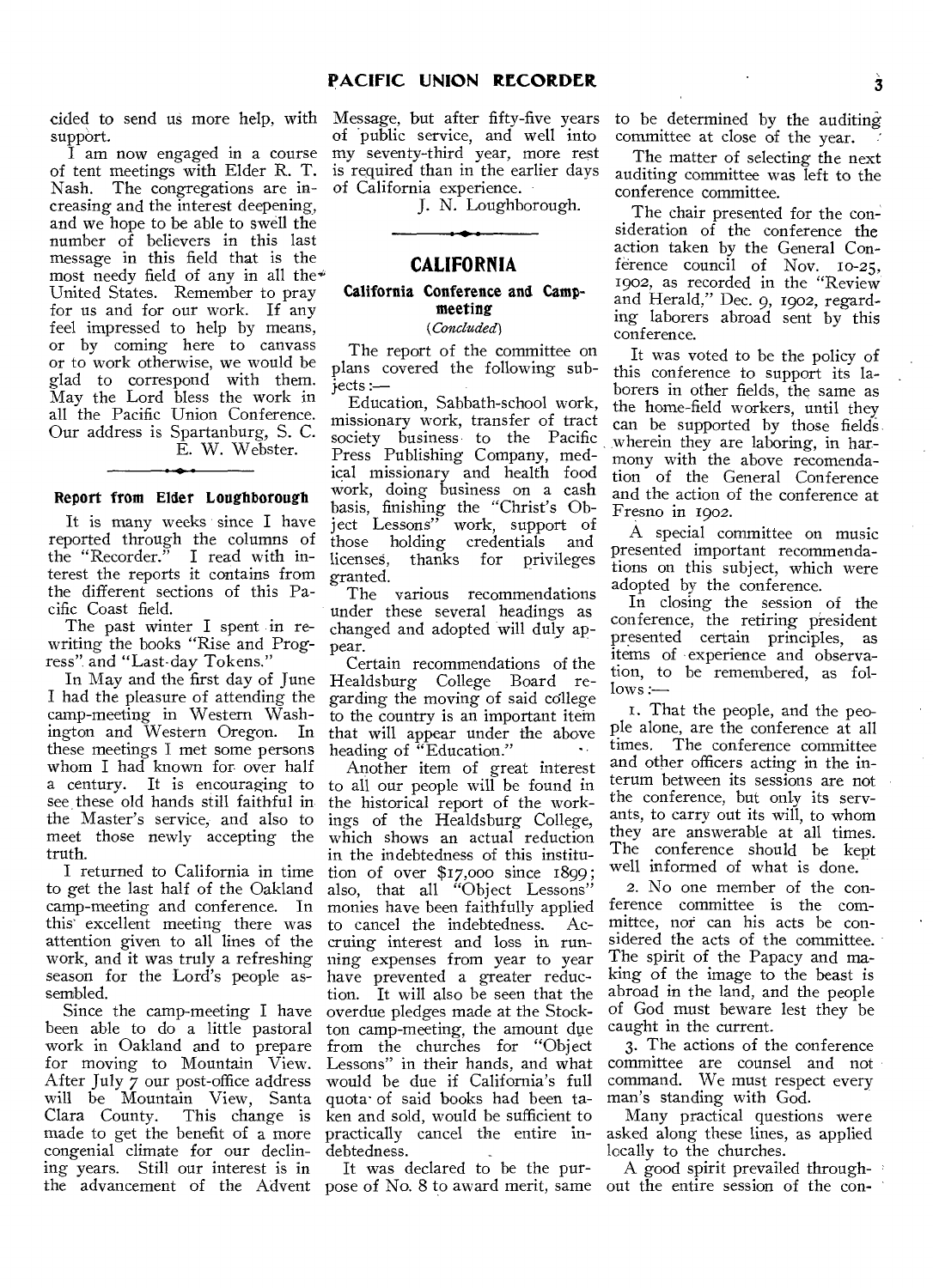support.

I am now engaged in a course of tent meetings with Elder R. T. Nash. The congregations are increasing and the interest deepening, and we hope to be able to swell the number of believers in this last message in this field that is the most needy field of any in all the $*$ United States. Remember to pray for us and for our work. If any feel impressed to help by means, or by coming here to canvass or to work otherwise, we would be glad to correspond with them. May the Lord bless the work in all the Pacific Union Conference. Our address is Spartanburg, S. C. E. W. Webster.

#### Report from Elder Loughborough

It is many weeks since I have reported through the columns of the "Recorder." I read with interest the reports it contains from the different sections of this Pacific Coast field.

The past winter I spent in rewriting the books "Rise and Progress", and "Last-day Tokens."

In May and the first day of June I had the pleasure of attending the camp-meeting in Western Washington and Western Oregon. In these meetings I met some persons whom I had known for over half a century. It is encouraging to see these old hands still faithful in the Master's service, and also to meet those newly accepting the truth.

I returned to California in time to get the last half of the Oakland camp-meeting and conference. In this excellent meeting there was attention given to all lines of the work, and it was truly a refreshing season for the Lord's people assembled.

Since the camp-meeting I have been able to do a little pastoral work in Oakland and to prepare for moving to Mountain View. After July 7 our post-office address will be Mountain View, Santa Clara County. This change is made to get the benefit of a more congenial climate for our declining years. Still our interest is in the advancement of the Advent

cided to send us more help, with Message, but after fifty-five years of public service, and well into my seventy-third year, more rest is required than in the earlier days of California experience.

J. N. Loughborough.

## **CALIFORNIA**

## California Conference and Campmeeting

## *(Concluded)*

The report of the committee on plans covered the following sub  $jects :=$ 

Education, Sabbath-school work, missionary work, transfer of tract society business to the Pacific Press Publishing Company, medical missionary and health food work, doing business on a cash basis, finishing the "Christ's Object Lessons" work, support of those holding credentials and<br>licenses, thanks for privileges licenses, thanks for granted.

The various recommendations under these several headings as changed and adopted will duly appear.

Certain recommendations of the Healdsburg College Board regarding the moving of said college to the country is an important item that will appear under the above heading of "Education."

Another item of great interest to all our people will be found in the historical report of the workings of the Healdsburg College, which shows an actual reduction in the indebtedness of this institution of over \$17,000 since 1899; also, that all "Object Lessons" monies have been faithfully applied<br>to cancel the indebtedness. Acto cancel the indebtedness. cruing interest and loss in running expenses from year to year have prevented a greater reduction. It will also be seen that the overdue pledges made at the Stockton camp-meeting, the amount due from the churches for "Object Lessons" in their hands, and what would be due if California's full quota-of said books had been taken and sold, would be sufficient to practically cancel the entire indebtedness.

It was declared to be the purpose of No. 8 to award merit, same out the entire session of the con-

to be determined by the auditing committee at close of the year.

The matter of selecting the next auditing committee was left to the conference committee.

The chair presented for the consideration of the conference the action taken by the General Conference council of Nov. 10-25, 1902, as recorded in the "Review and Herald," Dec. 9, 1902, regarding laborers abroad sent by this conference.

It was voted to be the policy of this conference to support its laborers in other fields, the same as the home-field workers, until they can be supported by those fields wherein they are laboring, in harmony with the above recomendation of the General Conference and the action of the conference at Fresno in 1902.

A special committee on music presented important recommendations on this subject, which were adopted by the conference.

In closing the session of the conference, the retiring president presented certain principles, as items of experience and observation, to be remembered, as follows :—

I. That the people, and the people alone, are the conference at all times. The conference committee and other officers acting in the interum between its sessions are not the conference, but only its servants, to carry out its will, to whom they are answerable at all times. The conference should be kept well informed of what is done.

2. No one member of the conference committee is the committee, nor can his acts be considered the acts of the committee. The spirit of the Papacy and making of the image to the beast is abroad in the land, and the people of God must beware lest they be caught in the current.

3. The actions of the conference committee are counsel and not command. We must respect every man's standing with God.

Many practical questions were asked along these lines, as applied locally to the churches.

A good spirit prevailed through-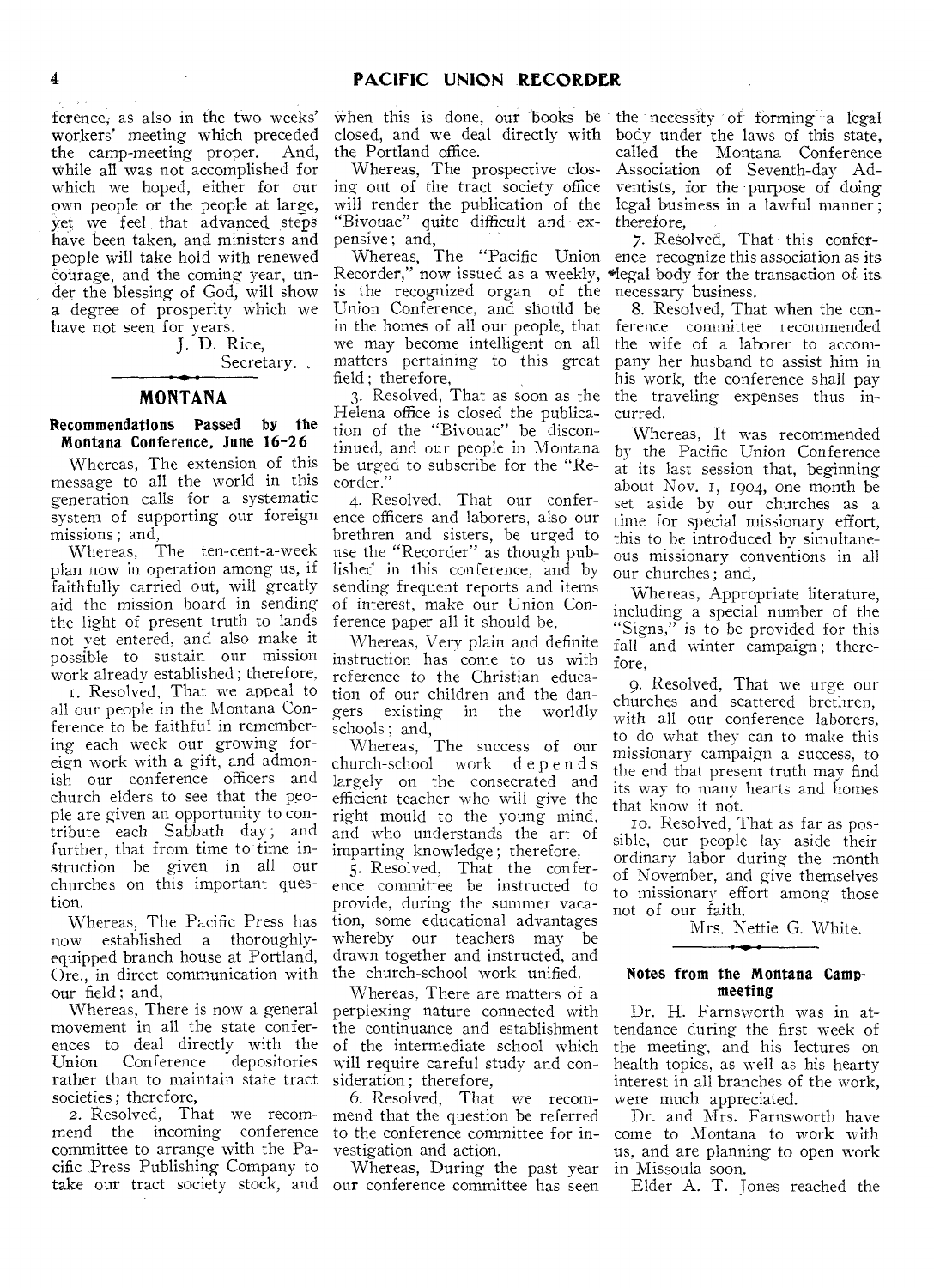ference, as also in the two weeks' workers' meeting which preceded the camp-meeting proper. And, while all was not accomplished for which we hoped, either for our own people or the people at large, yet we feel that advanced steps have been taken, and ministers and people will take hold with renewed courage, and the coming year, under the blessing of God, will show a degree of prosperity which we have not seen for years.

J. D. Rice,

Secretary..

### **MONTANA**

#### Recommendations Passed by the Montana Conference, June 16-26

Whereas, The extension of this message to all the world in this generation calls for a systematic system of supporting our foreign missions ; and,

Whereas, The ten-cent-a-week plan now in operation among us, if faithfully carried out, will greatly aid the mission board in sending the light of present truth to lands not yet entered, and also make it possible to sustain our mission work already established ; therefore,

I. Resolved, That we appeal to all our people in the Montana Conference to be faithful in remembering each week our growing foreign work with a gift, and admonish our conference officers and church elders to see that the people are given an opportunity to contribute each Sabbath day; and further, that from time to time instruction be given in all our churches on this important question.

Whereas, The Pacific Press has now established a thoroughlyequipped branch house at Portland, Ore., in direct communication with the church-school work unified. our field ; and,

Whereas, There is now a general movement in all the state conferences to deal directly with the<br>Union Conference depositories Union Conference rather than to maintain state tract societies ; therefore,

2. Resolved, That we recommend the incoming conference committee to arrange with the Pacific Press Publishing Company to take our tract society stock, and

when this is done, our books be the necessity of forming a legal closed, and we deal directly with the Portland office.

Whereas, The prospective closing out of the tract society office will render the publication of the "Bivouac" quite difficult and ex- therefore, pensive; and,

is the recognized organ of the Union Conference, and should be in the homes of all our people, that we may become intelligent on all matters pertaining to this great field ; therefore,

Helena office is closed the publication of the "Bivouac" be discontinued, and our people in Montana be urged to subscribe for the "Recorder."

4. Resolved, That our conference officers and laborers, also our brethren and sisters, be urged to use the "Recorder" as though published in this conference, and by sending frequent reports and items of interest, make our Union Conference paper all it should be.

Whereas, Very plain and definite instruction has come to us with reference to the Christian education of our children and the dangers existing in the worldly schools; and,

Whereas, The success of our church-school work d e p ends largely on the consecrated and efficient teacher who will give the right mould to the young mind, and who understands the art of imparting knowledge ; therefore,

5. Resolved, That the conference committee be instructed to provide, during the summer vacation, some educational advantages whereby our teachers may be drawn together and instructed, and

Whereas, There are matters of a perplexing nature connected with the continuance and establishment of the intermediate school which will require careful study and consideration ; therefore,

6. Resolved, That we recommend that the question be referred to the conference committee for investigation and action.

Whereas, During the past year our conference committee has seen

body under the laws of this state, called the Montana Conference Association of Seventh-day Adventists, for the purpose of doing legal business in a lawful manner ;

Whereas, The "Pacific Union ence recognize this association as its Recorder," now issued as a weekly, \*legal body for the transaction of its 7. Resolved, That this confernecessary business.

3. Resolved, That as soon as the the traveling expenses thus in-8. Resolved, That when the conference committee recommended the wife of a laborer to accompany her husband to assist him in his work, the conference shall pay curred.

> Whereas, It was recommended by the Pacific Union Conference at its last session that, beginning about Nov. I, 1904, one month be set aside by our churches as a time for special missionary effort, this to be introduced by simultaneous missionary conventions in all our churches ; and,

> Whereas, Appropriate literature, including a special number of the "Signs," is to be provided for this fall and winter campaign; therefore,

> 9. Resolved, That we urge our churches and scattered brethren, with all our conference laborers, to do what they can to make this missionary campaign a success, to the end that present truth may find its way to many hearts and homes that know it not.

> In. Resolved, That as far as possible, our people lay aside their ordinary labor during the month of November, and give themselves to missionary effort among those not of our faith.

> > Mrs. Nettie G. White.

#### Notes from the Montana Campmeeting

Dr. H. Farnsworth was in attendance during the first week of the meeting, and his lectures on health topics, as well as his hearty interest in all branches of the work, were much appreciated.

Dr. and Mrs. Farnsworth have come to Montana to work with us, and are planning to open work in Missoula soon.

Elder A. T. Jones reached the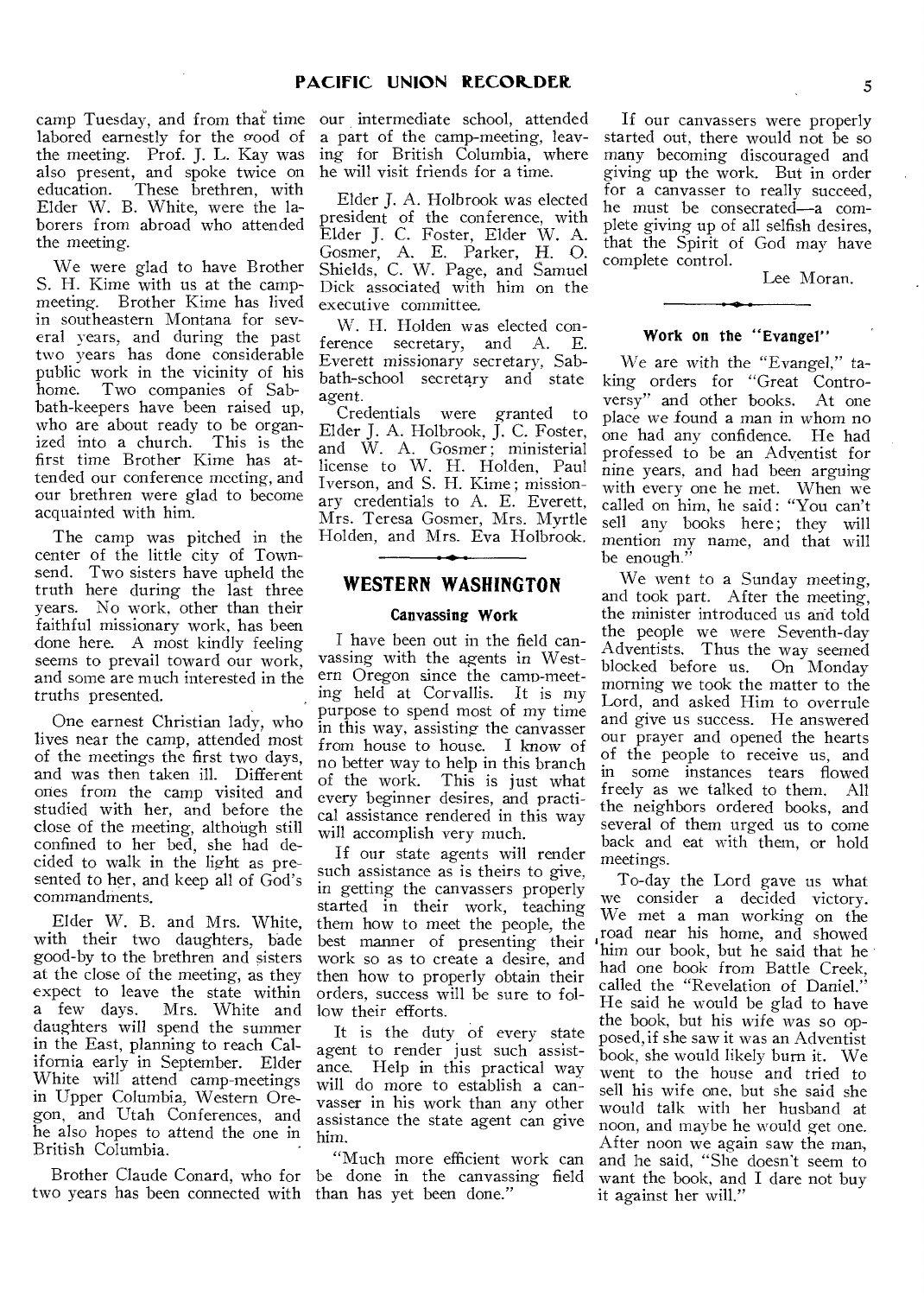labored earnestly for the good of the meeting. Prof. J. L. Kay was also present, and spoke twice on education. These brethren, with Elder W. B. White, were the laborers from abroad who attended the meeting.

We were glad to have Brother S. H. Kime with us at the campmeeting. Brother Kime has lived in southeastern Montana for several years, and during the past two years has done considerable public work in the vicinity of his home. Two companies of Sabbath-keepers have been raised up, who are about ready to be organized into a church. This is the first time Brother Kime has attended our conference meeting, and our brethren were glad to become acquainted with him.

The camp was pitched in the center of the little city of Townsend. Two sisters have upheld the truth here during the last three years. No work, other than their faithful missionary work, has been done here. A most kindly feeling seems to prevail toward our work, and some are much interested in the truths presented.

One earnest Christian lady, who lives near the camp, attended most of the meetings the first two days, and was then taken ill. Different ones from the camp visited and studied with her, and before the close of the meeting, although still confined to her bed, she had decided to walk in the light as presented to her, and keep all of God's commandments.

Elder W. B. and Mrs. White, with their two daughters, bade good-by to the brethren and sisters at the close of the meeting, as they expect to leave the state within a few days. Mrs. White and daughters will spend the summer in the East, planning to reach California early in September. Elder White will attend camp-meetings in Upper Columbia, Western Oregon, and Utah Conferences, and he also hopes to attend the one in British Columbia.

two years has been connected with than has yet been done."

camp Tuesday, and from that time our intermediate school, attended a part of the camp-meeting, leaving for British Columbia, where he will visit friends for a time.

> Elder J. A. Holbrook was elected president of the conference, with Elder J. C. Foster, Elder W. A. Gosmer, A. E. Parker, H. 0. Shields, C. W. Page, and Samuel Dick associated with him on the executive committee.

> W. H. Holden was elected conference secretary, and A. E. Everett missionary secretary, Sabbath-school secretary and state agent.

> Credentials were granted to Elder J. A. Holbrook, J. C. Foster, and W. A. Gosmer ; ministerial license to W. H. Holden, Paul Iverson, and S. H. Kime ; missionary credentials to A. E. Everett, Mrs. Teresa Gosmer, Mrs. Myrtle Holden, and Mrs. Eva Holbrook.

## **WESTERN WASHINGTON**

### Canvassing Work

I have been out in the field canvassing with the agents in Western Oregon since the camp-meeting held at Corvallis. It is my purpose to spend most of my time in this way, assisting the canvasser from house to house. I know of no better way to help in this branch of the work. This is just what every beginner desires, and practical assistance rendered in this way will accomplish very much.

If our state agents will render such assistance as is theirs to give, in getting the canvassers properly started in their work, teaching them how to meet the people, the best manner of presenting their work so as to create a desire, and then how to properly obtain their orders, success will be sure to follow their efforts.

It is the duty of every state agent to render just such assistance. Help in this practical way will do more to establish a canvasser in his work than any other assistance the state agent can give him.

Brother Claude Conard, who for be done in the canvassing field "Much more efficient work can

If our canvassers were properly started out, there would not be so many becoming discouraged and giving up the work. But in order for a canvasser to really succeed, he must be consecrated—a complete giving up of all selfish desires, that the Spirit of God may have complete control.

Lee Moran.

#### Work on the "Evangel"

We are with the "Evangel," taking orders for "Great Controversy" and other books. At one place we found a man in whom no one had any confidence. He had professed to be an Adventist for nine years, and had been arguing with every one he met. When we called on him, he said : "You can't sell any books here; they will mention my name, and that will be enough."

We went to a Sunday meeting, and took part. After the meeting, the minister introduced us and told the people we were Seventh-day Adventists. Thus the way seemed blocked before us. On Monday morning we took the matter to the Lord, and asked Him to overrule and give us success. He answered our prayer and opened the hearts of the people to receive us, and in some instances tears flowed freely as we talked to them. All the neighbors ordered books, and several of them urged us to come back and eat with them, or hold meetings.

To-day the Lord gave us what we consider a decided victory. We met a man working on the road near his home, and showed him our book, but he said that he had one book from Battle Creek. called the "Revelation of Daniel." He said he would be glad to have the book, but his wife was *so* opposed, if she saw it was an Adventist book, she would likely burn it. We went to the house and tried to sell his wife one, but she said she would talk with her husband at noon, and maybe he would get one. After noon we again saw the man, and he said, "She doesn't seem to want the book, and I dare not buy it against her will."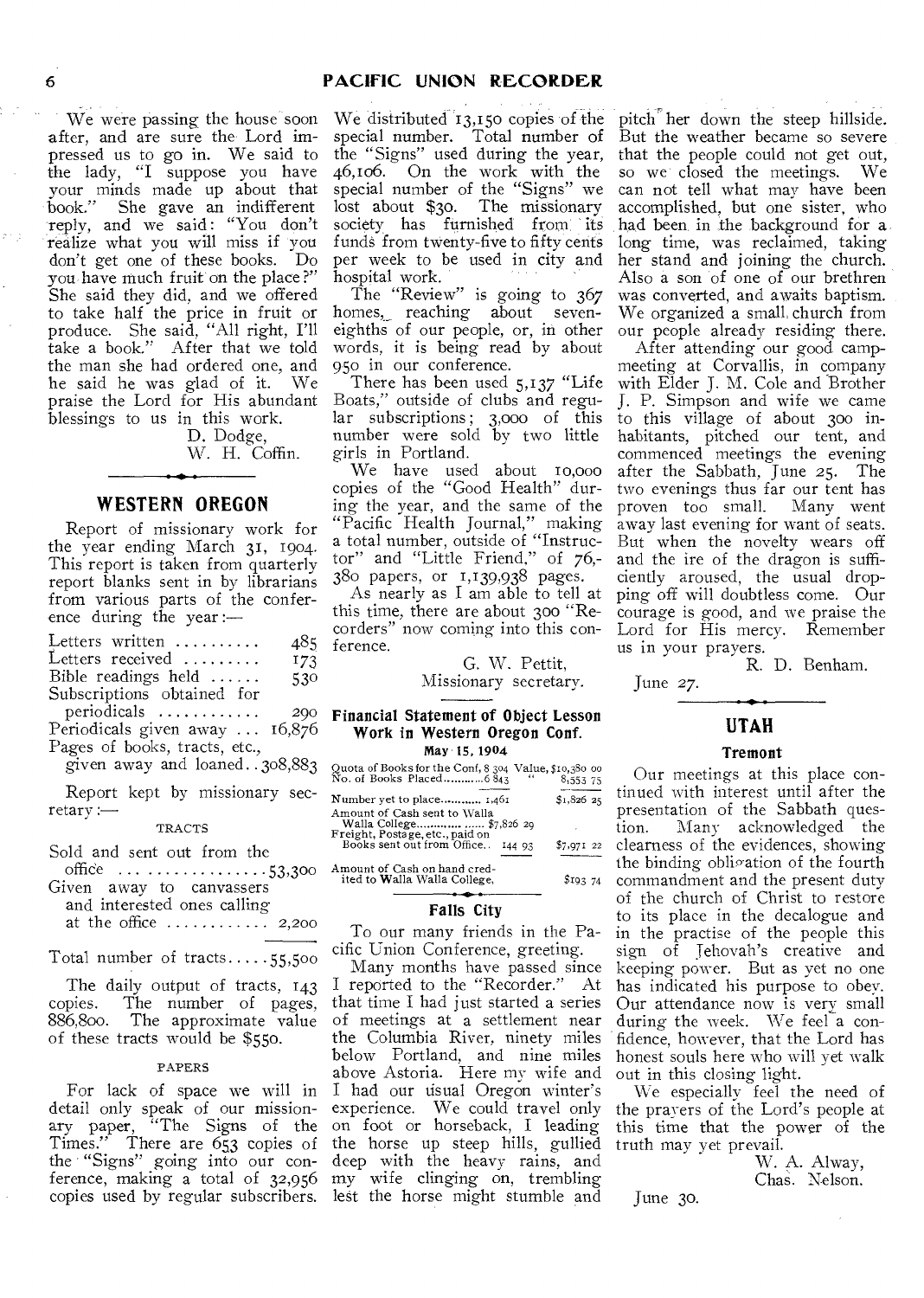We were passing the house soon after, and are sure the Lord impressed us to go in. We said to the lady, "I suppose you have your minds made up about that book." She gave an indifferent reply, and we said: "You don't realize what you will miss if you don't get one of these books. Do you have much fruit on the place?" She said they did, and we offered to take half the price in fruit or produce. She said, "All right, I'll take a book." After that we told the man she had ordered one, and he said he was glad of it. We praise the Lord for His abundant blessings to us in this work.

D. Dodge, W. H. Coffin.

## **WESTERN OREGON**

Report of missionary work for the year ending March 31, 1904. This report is taken from quarterly report blanks sent in by librarians from various parts of the conference during the year :—

| Letters written                | 485 |
|--------------------------------|-----|
| Letters received               | 173 |
| Bible readings held $\ldots$ . | 530 |
| Subscriptions obtained for     |     |
| periodicals                    | 200 |
| Periodicals given away  16,876 |     |
| Pages of books, tracts, etc.,  |     |

given away and loaned. 308,883

Report kept by missionary sec $retary :=$ 

#### TRACTS

Sold and sent out from the

| office $\ldots \ldots \ldots \ldots \ldots \ldots 53,300$ |  |  |
|-----------------------------------------------------------|--|--|
| Given away to canvassers                                  |  |  |
| and interested ones calling                               |  |  |

at the office  $\dots \dots \dots 2,200$ 

Total number of  $tracts \ldots .55,500$ 

The daily output of tracts, 143 copies. The number of pages, 886,800. The approximate value of these tracts would be \$550.

#### PAPERS

For lack of space we will in detail only speak of our missionary paper, "The Signs of the Times." There are 653 copies of the "Signs" going into our conference, making a total of 32,956 copies used by regular subscribers. lest the horse might stumble and

We distributed 13,150 copies of the special number. Total number of the "Signs" used during the year, 46,106. On the work with the special number of the "Signs" we lost about \$30. The missionary society has furnished from its funds from twenty-five to fifty cents per week to be used in city and hospital work.

The "Review" is going to 367 homes, reaching about seveneighths of our people, or, in other words, it is being read by about 95o in our conference.

There has been used 5,137 "Life Boats," outside of clubs and regular subscriptions ; 3,000 of this number were sold by two little girls in Portland.

We have used about io,000 copies of the "Good Health" during the year, and the same of the "Pacific Health Journal," making a total number, outside of "Instructor" and "Little Friend," of 76,- 380 papers, or 1,139,938 pages.

As nearly as I am able to tell at this time, there are about 300 "Recorders" now coming into this conference.

G. W. Pettit,

Missionary secretary.

#### Financial Statement of Object Lesson Work in Western Oregon Conf. May'15,1904

| Quota of Books for the Conf, 8 304 Value, \$10,380 00<br>No. of Books Placed 6 843 "8,553 75 | 8,553 75    |
|----------------------------------------------------------------------------------------------|-------------|
| <b>Number yet to place</b> 1,461                                                             | $$1.826$ 25 |
| Amount of Cash sent to Walla<br>Walla College \$7,826 29<br>Freight, Postage, etc., paid on  |             |
| Books sent out from Office<br>144 93                                                         | $$7,971$ 22 |
| Amount of Cash on hand cred-<br>ited to Walla Walla College,                                 | \$I93,74    |

Amount of Cash on hand cred-ited to Walla Walla College,

#### Falls City

To our many friends in the Pacific Union Conference, greeting.

Many months have passed since I reported to the "Recorder." At that time I had just started a series of meetings at a settlement near the Columbia River, ninety miles below Portland, and nine miles above Astoria. Here my wife and I had our usual Oregon winter's experience. We could travel only on foot or horseback, I leading the horse up steep hills, gullied deep with the heavy rains, and my wife clinging on, trembling

pitch her down the steep hillside. But the weather became so severe that the people could not get out, so we closed the meetings. We can not tell what may have been accomplished, but one sister, who had been in the background for a long time, was reclaimed, taking her stand and joining the church. Also a son of one of our brethren was converted, and awaits baptism. We organized a small church from our people already residing there.

After attending our good campmeeting at Corvallis, in company with Elder J. M. Cole and Brother J. P. Simpson and wife we came to this village of about 300 inhabitants, pitched our tent, and commenced meetings the evening after the Sabbath, June *25.* The two evenings thus far our tent has<br>proven too small. Many went proven too small. away last evening for want of seats. But when the novelty wears off and the ire of the dragon is sufficiently aroused, the usual dropping off will doubtless come. Our courage is good, and we praise the Lord for His mercy. Remember us in your prayers.

R. D. Benham.

June 27.

## **UTAH**

#### Tremont

Our meetings at this place continued with interest until after the presentation of the Sabbath ques-<br>tion. Many acknowledged the Many acknowledged the clearness of the evidences, showing the binding obligation of the fourth commandment and the present duty of the church of Christ to restore to its place in the decalogue and in the practise of the people this sign of Jehovah's creative and keeping power. But as yet no one has indicated his purpose to obey. Our attendance now is very small during the week. We feel a confidence, however, that the Lord has honest souls here who will yet walk out in this closing light.

We especially feel the need of the prayers of the Lord's people at this time that the power of the truth may yet prevail.

> W. A. Alway, Chas. Nelson.

June 3o.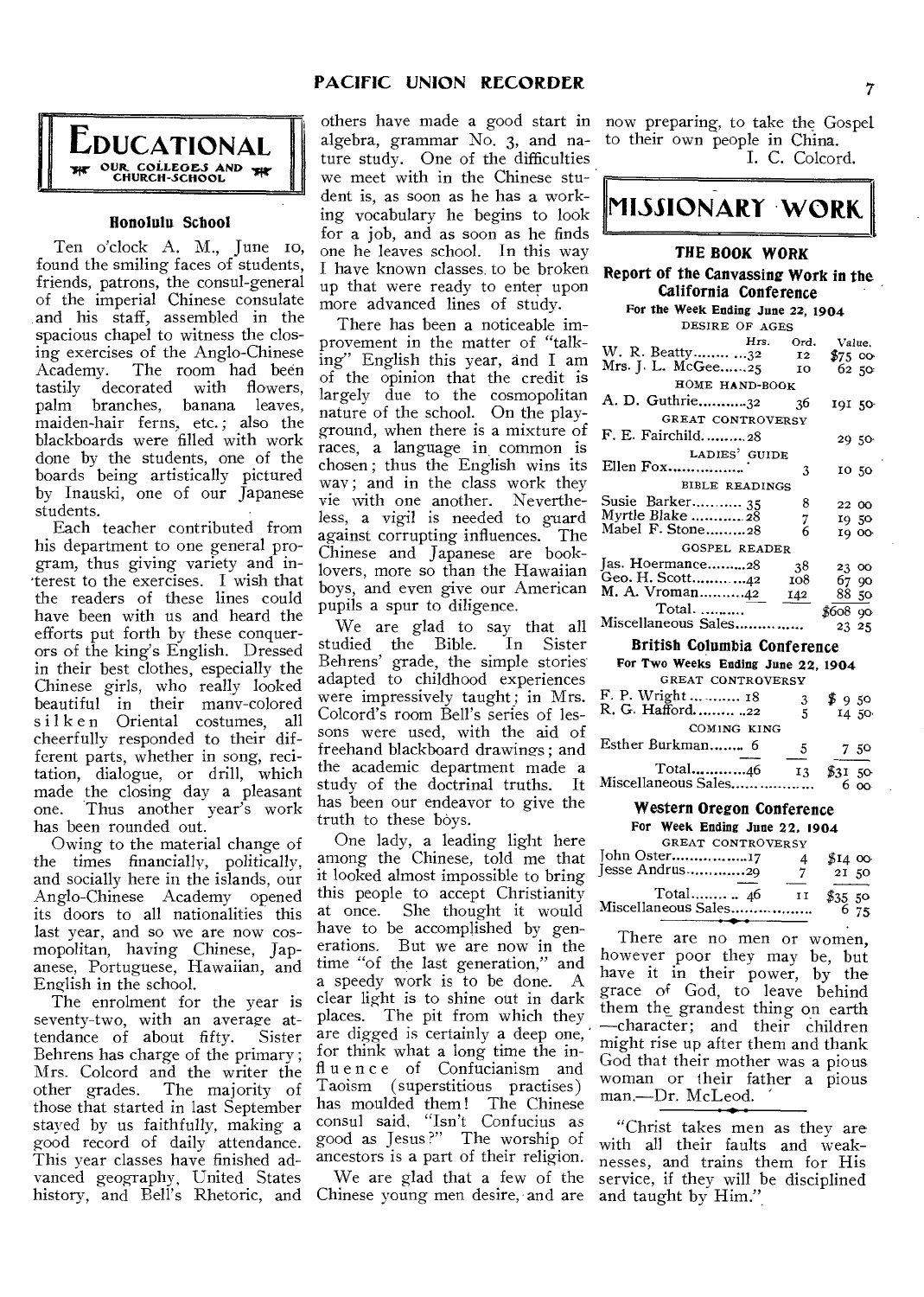## **PACIFIC UNION RECORDER** 7



### **Honolulu School**

Ten o'clock A. M., June to, found the smiling faces of students, friends, patrons, the consul-general of the imperial Chinese consulate and his staff, assembled in the spacious chapel to witness the closing exercises of the Anglo-Chinese The room had been tastily decorated with flowers, palm branches, banana leaves, maiden-hair ferns, etc.; also the blackboards were filled with work done by the students, one of the boards being artistically pictured by Inauski, one of our Japanese students.

Each teacher contributed from his department to one general program, thus giving variety and interest to the exercises. I wish that the readers of these lines could have been with us and heard the efforts put forth by these conquerors of the king's English. Dressed in their best clothes, especially the Chinese girls, who really looked beautiful in their many-colored silken Oriental costumes, all cheerfully responded to their different parts, whether in song, recitation, dialogue, or drill, which made the closing day a pleasant<br>one. Thus another year's work Thus another year's work has been rounded out.

Owing to the material change of the times financially, politically, and socially here in the islands, our Anglo-Chinese Academy opened its doors to all nationalities this last year, and so we are now cosmopolitan, having Chinese, Japanese, Portuguese, Hawaiian, and English in the school.

The enrolment for the year is seventy-two, with an average attendance of about fifty. Sister Behrens has charge of the primary ; Mrs. Colcord and the writer the other grades. The majority of The majority of those that started in last September staved by us faithfully, making a good record of daily attendance. This year classes have finished advanced geography, United States

others have made a good start in now preparing, to take the Gospel algebra, grammar No. 3, and nature study. One of the difficulties we meet with in the Chinese student is, as soon as he has a working vocabulary he begins to look for a job, and as soon as he finds one he leaves school. In this way I have known classes to be broken up that were ready to enter upon more advanced lines of study.

There has been a noticeable improvement in the matter of "talking" English this year, and I am of the opinion that the credit is largely due to the cosmopolitan  $\beta$ nature of the school. On the playground, when there is a mixture of races, a language in common is chosen ; thus the English wins its way; and in the class work they vie with one another. Nevertheless, a vigil is needed to guard against corrupting influences. The Chinese and Japanese are booklovers, more so than the Hawaiian boys, and even give our American pupils a spur to diligence.

We are glad to say that all <sup>N</sup><br>1died the Bible. In Sister studied the Bible. Behrens' grade, the simple stories adapted to childhood experiences were impressively taught; in Mrs. Colcord's room Bell's series of lessons were used, with the aid of freehand blackboard drawings ; and the academic department made a study of the doctrinal truths. It has been our endeavor to give the truth to these boys.

One lady, a leading light here among the Chinese, told me that it looked almost impossible to bring this people to accept Christianity at once. She thought it would have to be accomplished by generations. But we are now in the time "of the last generation," and a speedy work is to be done. A clear light is to shine out in dark places. The pit from which they are digged is certainly a deep one, for think what a long time the influence of Confucianism and Taoism (superstitious practises) has moulded them ! The Chinese consul said, "Isn't Confucius as good as Jesus ?" The worship of ancestors is a part of their religion.

history, and Bell's Rhetoric, and Chinese young men desire, and are and taught by Him." We are glad that a few of the

to their own people in China. I. C. Colcord.

# **MISSIONARY WORK.**

## **THE BOOK WORK**

#### **Report of the Canvassing Work in the California Conference**

| For the Week Ending June 22, 1904 |           |                     |  |  |
|-----------------------------------|-----------|---------------------|--|--|
| DESIRE OF AGES                    |           |                     |  |  |
|                                   | Hrs. Ord. | Value.              |  |  |
| W. R. Beatty 32 12                |           | $$75$ 00            |  |  |
| Mrs. J. L. McGee25 10             |           | 62 50               |  |  |
| HOME HAND-BOOK                    |           |                     |  |  |
| A. D. Guthrie32                   | 36        | 191 50 <sup>-</sup> |  |  |
| GREAT CONTROVERSY                 |           |                     |  |  |
| F. E. Fairchild28                 |           | 29 50               |  |  |
| LADIES' GUIDE                     |           |                     |  |  |
| Ellen Fox                         | 3         | 10 50               |  |  |
| <b>BIBLE READINGS</b>             |           |                     |  |  |
| Susie Barker 35                   | 8         | 22 00               |  |  |
| Myrtle Blake  28                  | 7         | 1950                |  |  |
| Mabel F. Stone28                  | 6         | 19 00               |  |  |
| <b>GOSPEL READER</b>              |           |                     |  |  |
|                                   |           |                     |  |  |
| Jas. Hoermance28                  | -38       | 23 00               |  |  |
| Geo. H. Scott42                   | 108       | 67 90               |  |  |
| M. A. Vroman42 142                |           | 88 50               |  |  |
| Total.                            |           | \$608.90            |  |  |
| Miscellaneous Sales               |           | 23 25               |  |  |
|                                   |           |                     |  |  |

## **British Columbia Conference**

| For Two Weeks Ending June 22, 1904      |    |                |
|-----------------------------------------|----|----------------|
| GREAT CONTROVERSY                       |    |                |
| F. P. Wright   18<br>R. G. Hafford.  22 | 3  | \$950          |
|                                         | 5  | 14 50          |
| COMING KING                             |    |                |
| Esther Burkman 6                        | 5  | 750            |
| Total46<br>Miscellaneous Sales          | 13 | \$3150<br>რ იი |

# **Western Oregon Conference**

|                     |                   | For Week Ending June 22, 1904 |                 |
|---------------------|-------------------|-------------------------------|-----------------|
|                     | GREAT CONTROVERSY |                               |                 |
| John Oster17        |                   |                               | \$140           |
| lesse Andrus29      |                   | 7                             | 21 50           |
|                     |                   | H                             | $$3550$<br>6 75 |
| Miscellaneous Sales |                   |                               |                 |

There are no men or women, however poor they may be, but have it in their power, by the grace of God, to leave behind them the grandest thing on earth —character; and their children might rise up after them and thank God that their mother was a pious woman or their father a pious man.—Dr. McLeod.

"Christ takes men as they are with all their faults and weaknesses, and trains them for His service, if they will be disciplined